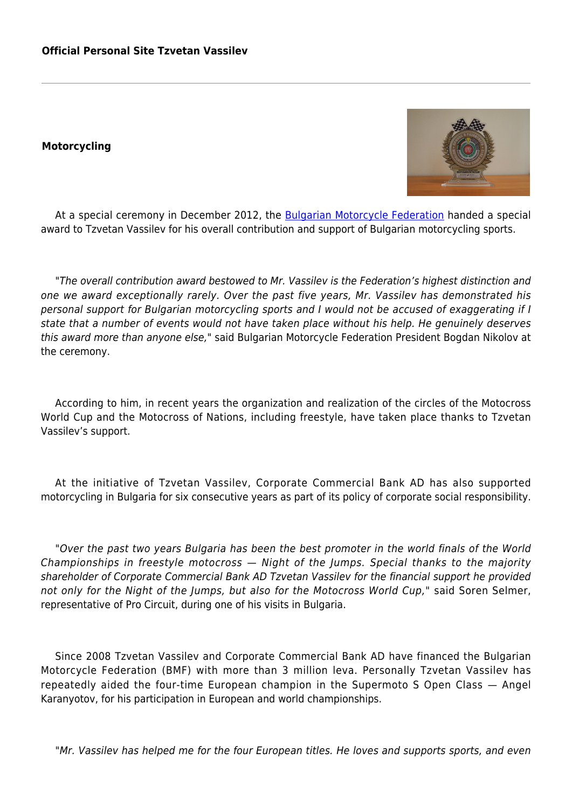## **Motorcycling**



At a special ceremony in December 2012, the [Bulgarian Motorcycle Federation](http://bfm.bg/) handed a special award to Tzvetan Vassilev for his overall contribution and support of Bulgarian motorcycling sports.

"The overall contribution award bestowed to Mr. Vassilev is the Federation's highest distinction and one we award exceptionally rarely. Over the past five years, Mr. Vassilev has demonstrated his personal support for Bulgarian motorcycling sports and I would not be accused of exaggerating if I state that a number of events would not have taken place without his help. He genuinely deserves this award more than anyone else," said Bulgarian Motorcycle Federation President Bogdan Nikolov at the ceremony.

According to him, in recent years the organization and realization of the circles of the Motocross World Cup and the Motocross of Nations, including freestyle, have taken place thanks to Tzvetan Vassilev's support.

At the initiative of Tzvetan Vassilev, Corporate Commercial Bank AD has also supported motorcycling in Bulgaria for six consecutive years as part of its policy of corporate social responsibility.

"Over the past two years Bulgaria has been the best promoter in the world finals of the World Championships in freestyle motocross — Night of the Jumps. Special thanks to the majority shareholder of Corporate Commercial Bank AD Tzvetan Vassilev for the financial support he provided not only for the Night of the Jumps, but also for the Motocross World Cup," said Soren Selmer, representative of Pro Circuit, during one of his visits in Bulgaria.

Since 2008 Tzvetan Vassilev and Corporate Commercial Bank AD have financed the Bulgarian Motorcycle Federation (BMF) with more than 3 million leva. Personally Tzvetan Vassilev has repeatedly aided the four-time European champion in the Supermoto S Open Class — Angel Karanyotov, for his participation in European and world championships.

"Mr. Vassilev has helped me for the four European titles. He loves and supports sports, and even